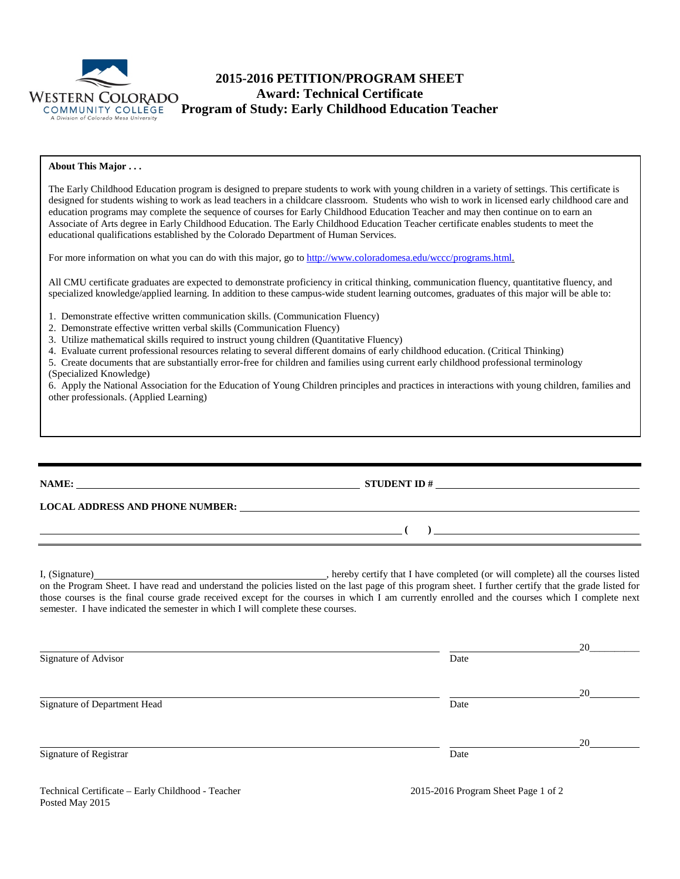

# **2015-2016 PETITION/PROGRAM SHEET Award: Technical Certificate Program of Study: Early Childhood Education Teacher**

#### **About This Major . . .**

The Early Childhood Education program is designed to prepare students to work with young children in a variety of settings. This certificate is designed for students wishing to work as lead teachers in a childcare classroom. Students who wish to work in licensed early childhood care and education programs may complete the sequence of courses for Early Childhood Education Teacher and may then continue on to earn an Associate of Arts degree in Early Childhood Education. The Early Childhood Education Teacher certificate enables students to meet the educational qualifications established by the Colorado Department of Human Services.

For more information on what you can do with this major, go t[o http://www.coloradomesa.edu/wccc/programs.html.](http://www.coloradomesa.edu/wccc/programs.html)

All CMU certificate graduates are expected to demonstrate proficiency in critical thinking, communication fluency, quantitative fluency, and specialized knowledge/applied learning. In addition to these campus-wide student learning outcomes, graduates of this major will be able to:

- 1. Demonstrate effective written communication skills. (Communication Fluency)
- 2. Demonstrate effective written verbal skills (Communication Fluency)
- 3. Utilize mathematical skills required to instruct young children (Quantitative Fluency)

4. Evaluate current professional resources relating to several different domains of early childhood education. (Critical Thinking)

5. Create documents that are substantially error-free for children and families using current early childhood professional terminology (Specialized Knowledge)

6. Apply the National Association for the Education of Young Children principles and practices in interactions with young children, families and other professionals. (Applied Learning)

**NAME: STUDENT ID #**

**( )** 

**LOCAL ADDRESS AND PHONE NUMBER:**

I, (Signature) , hereby certify that I have completed (or will complete) all the courses listed on the Program Sheet. I have read and understand the policies listed on the last page of this program sheet. I further certify that the grade listed for those courses is the final course grade received except for the courses in which I am currently enrolled and the courses which I complete next semester. I have indicated the semester in which I will complete these courses.

|                              |      | 20 |
|------------------------------|------|----|
| Signature of Advisor         | Date |    |
|                              |      | 20 |
| Signature of Department Head | Date |    |
|                              |      | 20 |
| Signature of Registrar       | Date |    |

Technical Certificate – Early Childhood - Teacher 2015-2016 Program Sheet Page 1 of 2 Posted May 2015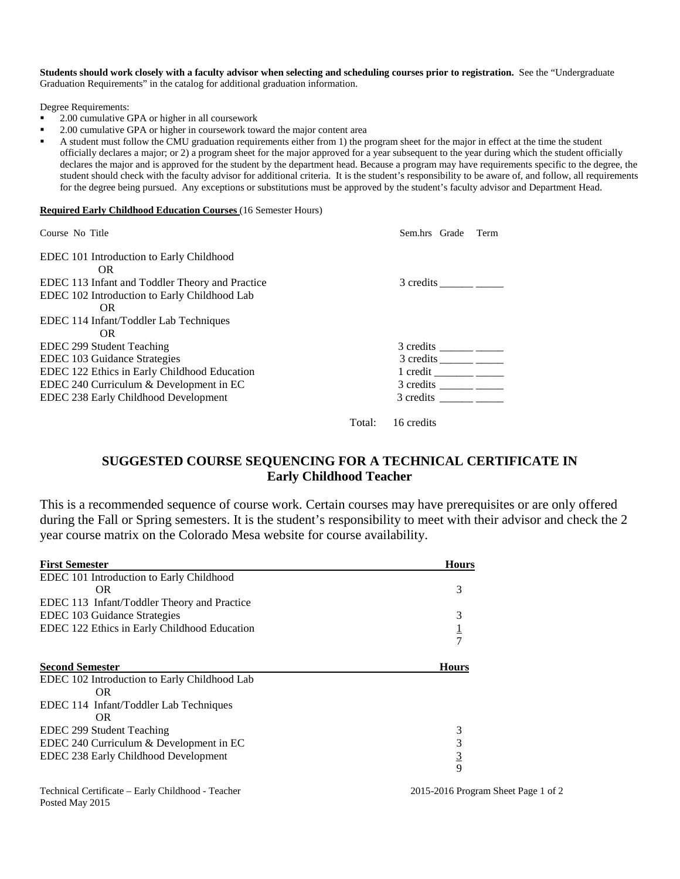**Students should work closely with a faculty advisor when selecting and scheduling courses prior to registration.** See the "Undergraduate Graduation Requirements" in the catalog for additional graduation information.

Degree Requirements:

- 2.00 cumulative GPA or higher in all coursework
- 2.00 cumulative GPA or higher in coursework toward the major content area

 A student must follow the CMU graduation requirements either from 1) the program sheet for the major in effect at the time the student officially declares a major; or 2) a program sheet for the major approved for a year subsequent to the year during which the student officially declares the major and is approved for the student by the department head. Because a program may have requirements specific to the degree, the student should check with the faculty advisor for additional criteria. It is the student's responsibility to be aware of, and follow, all requirements for the degree being pursued. Any exceptions or substitutions must be approved by the student's faculty advisor and Department Head.

#### **Required Early Childhood Education Courses** (16 Semester Hours)

| Course No Title                                 | Sem.hrs Grade<br>Term |
|-------------------------------------------------|-----------------------|
| EDEC 101 Introduction to Early Childhood        |                       |
| OR.                                             |                       |
| EDEC 113 Infant and Toddler Theory and Practice | 3 credits             |
| EDEC 102 Introduction to Early Childhood Lab    |                       |
| OR.                                             |                       |
| EDEC 114 Infant/Toddler Lab Techniques          |                       |
| OR.                                             |                       |
| EDEC 299 Student Teaching                       |                       |
| EDEC 103 Guidance Strategies                    | 3 credits             |
| EDEC 122 Ethics in Early Childhood Education    | $1 \text{ credit}$    |
| EDEC 240 Curriculum & Development in EC         |                       |
| EDEC 238 Early Childhood Development            |                       |
|                                                 | Total:<br>16 credits  |

## **SUGGESTED COURSE SEQUENCING FOR A TECHNICAL CERTIFICATE IN Early Childhood Teacher**

This is a recommended sequence of course work. Certain courses may have prerequisites or are only offered during the Fall or Spring semesters. It is the student's responsibility to meet with their advisor and check the 2 year course matrix on the Colorado Mesa website for course availability.

| <b>First Semester</b>                        | <b>Hours</b> |
|----------------------------------------------|--------------|
| EDEC 101 Introduction to Early Childhood     |              |
| OR.                                          | 3            |
| EDEC 113 Infant/Toddler Theory and Practice  |              |
| EDEC 103 Guidance Strategies                 | 3            |
| EDEC 122 Ethics in Early Childhood Education |              |
|                                              |              |
| <b>Second Semester</b>                       | <b>Hours</b> |
| EDEC 102 Introduction to Early Childhood Lab |              |
| OR.                                          |              |
| EDEC 114 Infant/Toddler Lab Techniques       |              |
| OR.                                          |              |
| EDEC 299 Student Teaching                    | 3            |
| EDEC 240 Curriculum & Development in EC      | 3            |
| EDEC 238 Early Childhood Development         |              |
|                                              |              |
|                                              | $rac{3}{9}$  |

Technical Certificate – Early Childhood - Teacher 2015-2016 Program Sheet Page 1 of 2 Posted May 2015